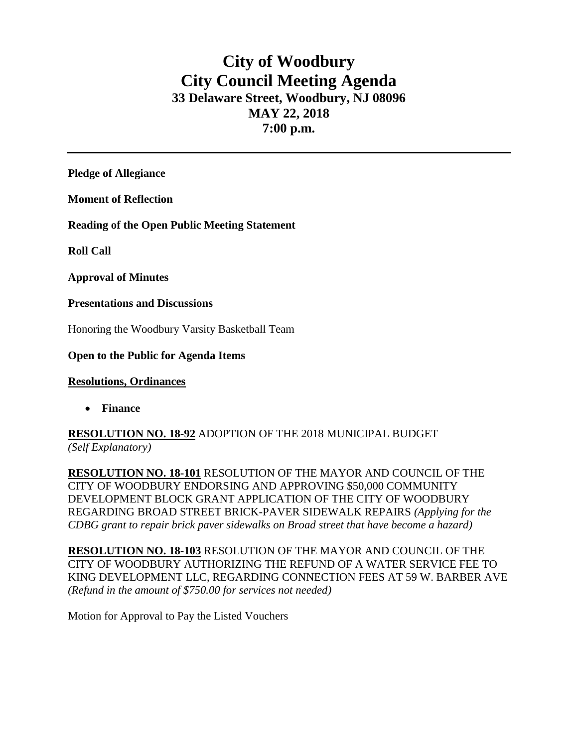# **City of Woodbury City Council Meeting Agenda 33 Delaware Street, Woodbury, NJ 08096 MAY 22, 2018 7:00 p.m.**

**Pledge of Allegiance**

**Moment of Reflection**

**Reading of the Open Public Meeting Statement**

**Roll Call**

**Approval of Minutes**

**Presentations and Discussions**

Honoring the Woodbury Varsity Basketball Team

## **Open to the Public for Agenda Items**

### **Resolutions, Ordinances**

**Finance** 

**RESOLUTION NO. 18-92** ADOPTION OF THE 2018 MUNICIPAL BUDGET *(Self Explanatory)*

**RESOLUTION NO. 18-101** RESOLUTION OF THE MAYOR AND COUNCIL OF THE CITY OF WOODBURY ENDORSING AND APPROVING \$50,000 COMMUNITY DEVELOPMENT BLOCK GRANT APPLICATION OF THE CITY OF WOODBURY REGARDING BROAD STREET BRICK-PAVER SIDEWALK REPAIRS *(Applying for the CDBG grant to repair brick paver sidewalks on Broad street that have become a hazard)*

**RESOLUTION NO. 18-103** RESOLUTION OF THE MAYOR AND COUNCIL OF THE CITY OF WOODBURY AUTHORIZING THE REFUND OF A WATER SERVICE FEE TO KING DEVELOPMENT LLC, REGARDING CONNECTION FEES AT 59 W. BARBER AVE *(Refund in the amount of \$750.00 for services not needed)*

Motion for Approval to Pay the Listed Vouchers